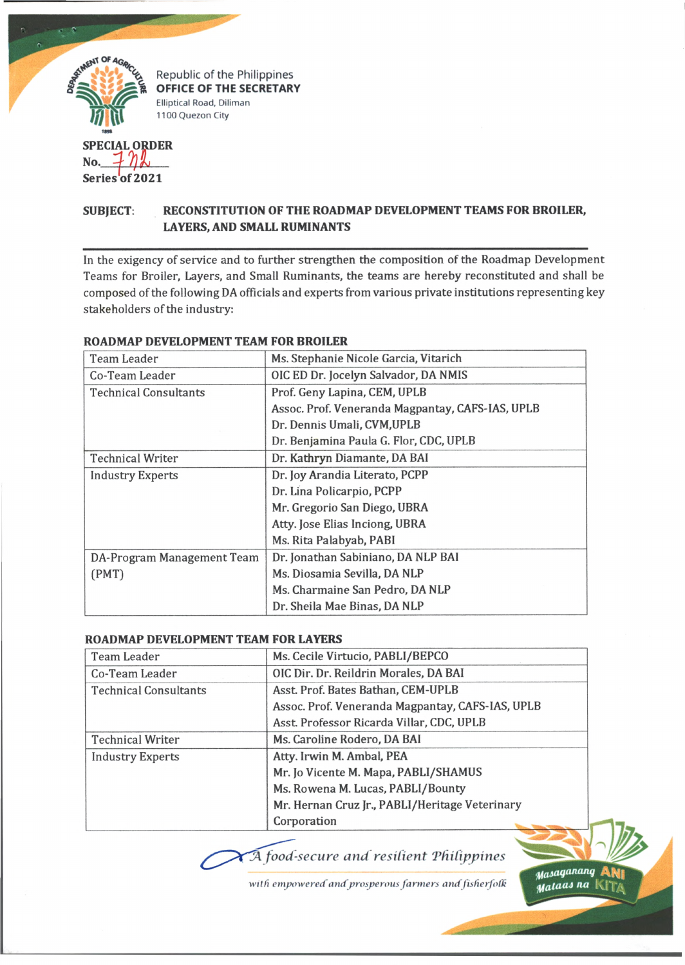

**Series of 2021**

# **SUBJECT: RECONSTITUTION OF THE ROADMAP DEVELOPMENT TEAMS FOR BROILER, LAYERS, AND SMALL RUMINANTS**

In the exigency of service and to further strengthen the composition of the Roadmap Development Teams for Broiler, Layers, and Small Ruminants, the teams are hereby reconstituted and shall be composed of the following DA officials and experts from various private institutions representing key stakeholders of the industry:

| Team Leader                  | Ms. Stephanie Nicole Garcia, Vitarich            |
|------------------------------|--------------------------------------------------|
| Co-Team Leader               | OIC ED Dr. Jocelyn Salvador, DA NMIS             |
| <b>Technical Consultants</b> | Prof. Geny Lapina, CEM, UPLB                     |
|                              | Assoc. Prof. Veneranda Magpantay, CAFS-IAS, UPLB |
|                              | Dr. Dennis Umali, CVM, UPLB                      |
|                              | Dr. Benjamina Paula G. Flor, CDC, UPLB           |
| <b>Technical Writer</b>      | Dr. Kathryn Diamante, DA BAI                     |
| <b>Industry Experts</b>      | Dr. Joy Arandia Literato, PCPP                   |
|                              | Dr. Lina Policarpio, PCPP                        |
|                              | Mr. Gregorio San Diego, UBRA                     |
|                              | Atty. Jose Elias Inciong, UBRA                   |
|                              | Ms. Rita Palabyab, PABI                          |
| DA-Program Management Team   | Dr. Jonathan Sabiniano, DA NLP BAI               |
| (PMT)                        | Ms. Diosamia Sevilla, DA NLP                     |
|                              | Ms. Charmaine San Pedro, DA NLP                  |
|                              | Dr. Sheila Mae Binas, DA NLP                     |

### **ROADMAP DEVELOPMENT TEAM FOR BROILER**

#### **ROADMAP DEVELOPMENT TEAM FOR LAYERS**

| Team Leader                  | Ms. Cecile Virtucio, PABLI/BEPCO                 |
|------------------------------|--------------------------------------------------|
| Co-Team Leader               | OIC Dir. Dr. Reildrin Morales, DA BAI            |
| <b>Technical Consultants</b> | Asst. Prof. Bates Bathan, CEM-UPLB               |
|                              | Assoc. Prof. Veneranda Magpantay, CAFS-IAS, UPLB |
|                              | Asst. Professor Ricarda Villar, CDC, UPLB        |
| <b>Technical Writer</b>      | Ms. Caroline Rodero, DA BAI                      |
| <b>Industry Experts</b>      | Atty. Irwin M. Ambal, PEA                        |
|                              | Mr. Jo Vicente M. Mapa, PABLI/SHAMUS             |
|                              | Ms. Rowena M. Lucas, PABLI/Bounty                |
|                              | Mr. Hernan Cruz Jr., PABLI/Heritage Veterinary   |
|                              | Corporation                                      |

*fA food-secure and resilient Thitippines*

with empowered and prosperous farmers and fisherfolk

*tfasagananq* ANl *Mataas na* Ki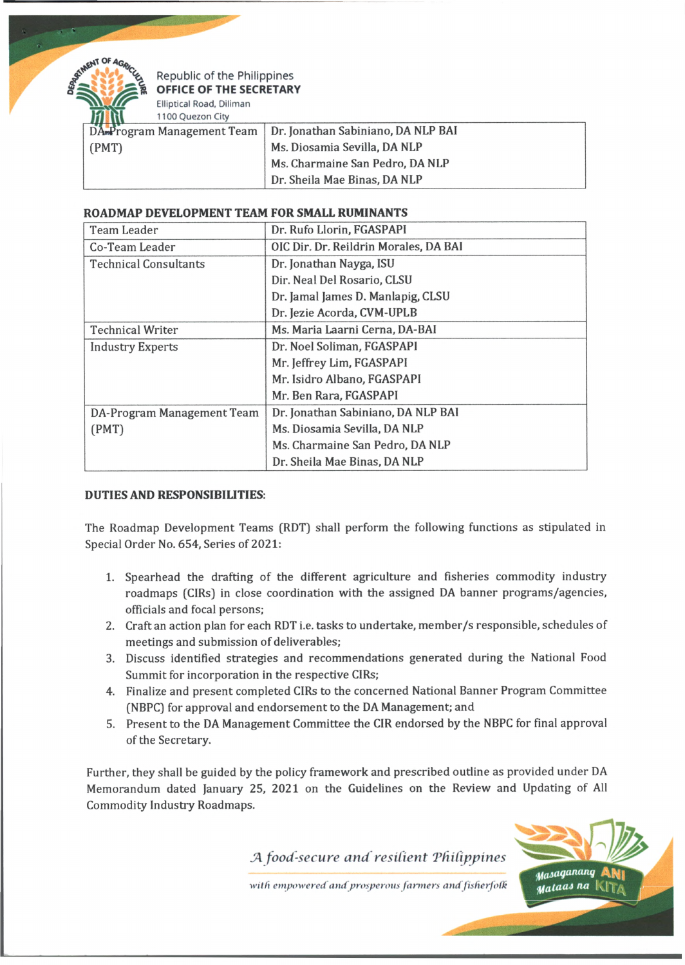

Republic of the Philippines **OFFICE OF THE SECRETARY Elliptical Road, Diliman**

**1100 Quezon City**

|       | DA Program Management Team Dr. Jonathan Sabiniano, DA NLP BAI |
|-------|---------------------------------------------------------------|
| (PMT) | Ms. Diosamia Sevilla, DA NLP                                  |
|       | Ms. Charmaine San Pedro, DA NLP                               |
|       | Dr. Sheila Mae Binas, DA NLP                                  |

## **ROADMAP DEVELOPMENT TEAM FOR SMALL RUMINANTS**

| <b>Team Leader</b>           | Dr. Rufo Llorin, FGASPAPI             |
|------------------------------|---------------------------------------|
| Co-Team Leader               | OIC Dir. Dr. Reildrin Morales, DA BAI |
| <b>Technical Consultants</b> | Dr. Jonathan Nayga, ISU               |
|                              | Dir. Neal Del Rosario, CLSU           |
|                              | Dr. Jamal James D. Manlapig, CLSU     |
|                              | Dr. Jezie Acorda, CVM-UPLB            |
| <b>Technical Writer</b>      | Ms. Maria Laarni Cerna, DA-BAI        |
| <b>Industry Experts</b>      | Dr. Noel Soliman, FGASPAPI            |
|                              | Mr. Jeffrey Lim, FGASPAPI             |
|                              | Mr. Isidro Albano, FGASPAPI           |
|                              | Mr. Ben Rara, FGASPAPI                |
| DA-Program Management Team   | Dr. Jonathan Sabiniano, DA NLP BAI    |
| (PMT)                        | Ms. Diosamia Sevilla, DA NLP          |
|                              | Ms. Charmaine San Pedro, DA NLP       |
|                              | Dr. Sheila Mae Binas, DA NLP          |

## **DUTIES AND RESPONSIBILITIES:**

The Roadmap Development Teams (RDT) shall perform the following functions as stipulated in Special Order No. 654, Series of 2021:

- 1. Spearhead the drafting of the different agriculture and fisheries commodity industry roadmaps (CIRs) in close coordination with the assigned DA banner programs/agencies, officials and focal persons;
- 2. Craft an action plan for each RDT i.e. tasks to undertake, member/s responsible, schedules of meetings and submission of deliverables;
- 3. Discuss identified strategies and recommendations generated during the National Food Summit for incorporation in the respective CIRs;
- 4. Finalize and present completed CIRs to the concerned National Banner Program Committee (NBPC) for approval and endorsement to the DA Management; and
- 5. Present to the DA Management Committee the CIR endorsed by the NBPC for final approval of the Secretary.

Further, they shall be guided by the policy framework and prescribed outline as provided under DA Memorandum dated January 25, 2021 on the Guidelines on the Review and Updating of All Commodity Industry Roadmaps.

*JA food-secure and resilient 'Philippines*

with empowered and prosperous farmers and fisherfolk